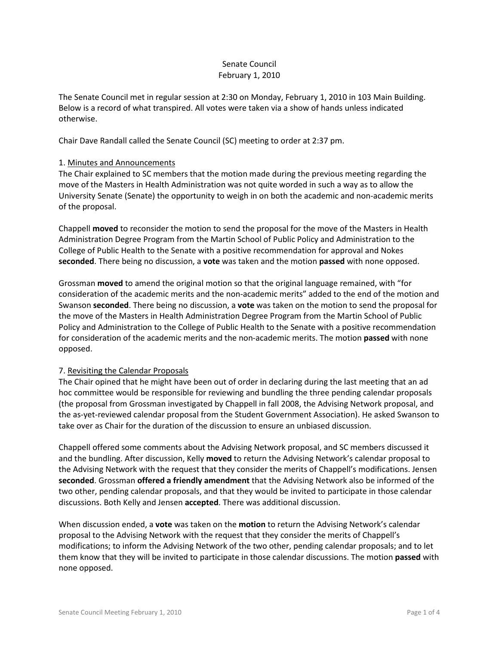# Senate Council February 1, 2010

The Senate Council met in regular session at 2:30 on Monday, February 1, 2010 in 103 Main Building. Below is a record of what transpired. All votes were taken via a show of hands unless indicated otherwise.

Chair Dave Randall called the Senate Council (SC) meeting to order at 2:37 pm.

## 1. Minutes and Announcements

The Chair explained to SC members that the motion made during the previous meeting regarding the move of the Masters in Health Administration was not quite worded in such a way as to allow the University Senate (Senate) the opportunity to weigh in on both the academic and non-academic merits of the proposal.

Chappell **moved** to reconsider the motion to send the proposal for the move of the Masters in Health Administration Degree Program from the Martin School of Public Policy and Administration to the College of Public Health to the Senate with a positive recommendation for approval and Nokes **seconded**. There being no discussion, a **vote** was taken and the motion **passed** with none opposed.

Grossman **moved** to amend the original motion so that the original language remained, with "for consideration of the academic merits and the non-academic merits" added to the end of the motion and Swanson **seconded**. There being no discussion, a **vote** was taken on the motion to send the proposal for the move of the Masters in Health Administration Degree Program from the Martin School of Public Policy and Administration to the College of Public Health to the Senate with a positive recommendation for consideration of the academic merits and the non-academic merits. The motion **passed** with none opposed.

# 7. Revisiting the Calendar Proposals

The Chair opined that he might have been out of order in declaring during the last meeting that an ad hoc committee would be responsible for reviewing and bundling the three pending calendar proposals (the proposal from Grossman investigated by Chappell in fall 2008, the Advising Network proposal, and the as-yet-reviewed calendar proposal from the Student Government Association). He asked Swanson to take over as Chair for the duration of the discussion to ensure an unbiased discussion.

Chappell offered some comments about the Advising Network proposal, and SC members discussed it and the bundling. After discussion, Kelly **moved** to return the Advising Network's calendar proposal to the Advising Network with the request that they consider the merits of Chappell's modifications. Jensen **seconded**. Grossman **offered a friendly amendment** that the Advising Network also be informed of the two other, pending calendar proposals, and that they would be invited to participate in those calendar discussions. Both Kelly and Jensen **accepted**. There was additional discussion.

When discussion ended, a **vote** was taken on the **motion** to return the Advising Network's calendar proposal to the Advising Network with the request that they consider the merits of Chappell's modifications; to inform the Advising Network of the two other, pending calendar proposals; and to let them know that they will be invited to participate in those calendar discussions. The motion **passed** with none opposed.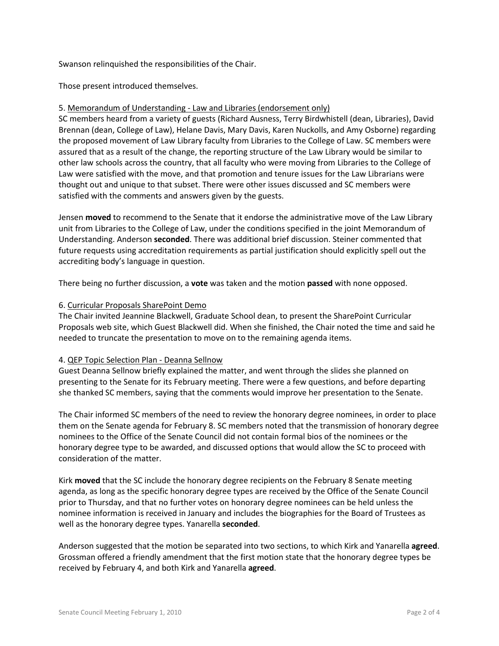Swanson relinquished the responsibilities of the Chair.

Those present introduced themselves.

## 5. Memorandum of Understanding - Law and Libraries (endorsement only)

SC members heard from a variety of guests (Richard Ausness, Terry Birdwhistell (dean, Libraries), David Brennan (dean, College of Law), Helane Davis, Mary Davis, Karen Nuckolls, and Amy Osborne) regarding the proposed movement of Law Library faculty from Libraries to the College of Law. SC members were assured that as a result of the change, the reporting structure of the Law Library would be similar to other law schools across the country, that all faculty who were moving from Libraries to the College of Law were satisfied with the move, and that promotion and tenure issues for the Law Librarians were thought out and unique to that subset. There were other issues discussed and SC members were satisfied with the comments and answers given by the guests.

Jensen **moved** to recommend to the Senate that it endorse the administrative move of the Law Library unit from Libraries to the College of Law, under the conditions specified in the joint Memorandum of Understanding. Anderson **seconded**. There was additional brief discussion. Steiner commented that future requests using accreditation requirements as partial justification should explicitly spell out the accrediting body's language in question.

There being no further discussion, a **vote** was taken and the motion **passed** with none opposed.

### 6. Curricular Proposals SharePoint Demo

The Chair invited Jeannine Blackwell, Graduate School dean, to present the SharePoint Curricular Proposals web site, which Guest Blackwell did. When she finished, the Chair noted the time and said he needed to truncate the presentation to move on to the remaining agenda items.

#### 4. QEP Topic Selection Plan - Deanna Sellnow

Guest Deanna Sellnow briefly explained the matter, and went through the slides she planned on presenting to the Senate for its February meeting. There were a few questions, and before departing she thanked SC members, saying that the comments would improve her presentation to the Senate.

The Chair informed SC members of the need to review the honorary degree nominees, in order to place them on the Senate agenda for February 8. SC members noted that the transmission of honorary degree nominees to the Office of the Senate Council did not contain formal bios of the nominees or the honorary degree type to be awarded, and discussed options that would allow the SC to proceed with consideration of the matter.

Kirk **moved** that the SC include the honorary degree recipients on the February 8 Senate meeting agenda, as long as the specific honorary degree types are received by the Office of the Senate Council prior to Thursday, and that no further votes on honorary degree nominees can be held unless the nominee information is received in January and includes the biographies for the Board of Trustees as well as the honorary degree types. Yanarella **seconded**.

Anderson suggested that the motion be separated into two sections, to which Kirk and Yanarella **agreed**. Grossman offered a friendly amendment that the first motion state that the honorary degree types be received by February 4, and both Kirk and Yanarella **agreed**.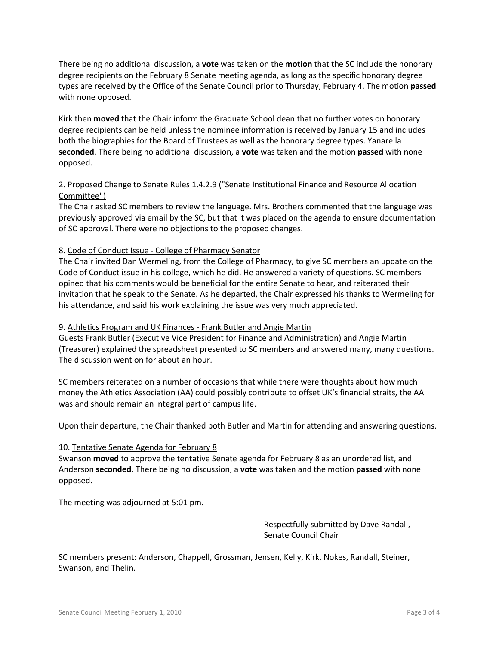There being no additional discussion, a **vote** was taken on the **motion** that the SC include the honorary degree recipients on the February 8 Senate meeting agenda, as long as the specific honorary degree types are received by the Office of the Senate Council prior to Thursday, February 4. The motion **passed** with none opposed.

Kirk then **moved** that the Chair inform the Graduate School dean that no further votes on honorary degree recipients can be held unless the nominee information is received by January 15 and includes both the biographies for the Board of Trustees as well as the honorary degree types. Yanarella **seconded**. There being no additional discussion, a **vote** was taken and the motion **passed** with none opposed.

# 2. Proposed Change to Senate Rules 1.4.2.9 ("Senate Institutional Finance and Resource Allocation Committee")

The Chair asked SC members to review the language. Mrs. Brothers commented that the language was previously approved via email by the SC, but that it was placed on the agenda to ensure documentation of SC approval. There were no objections to the proposed changes.

# 8. Code of Conduct Issue - College of Pharmacy Senator

The Chair invited Dan Wermeling, from the College of Pharmacy, to give SC members an update on the Code of Conduct issue in his college, which he did. He answered a variety of questions. SC members opined that his comments would be beneficial for the entire Senate to hear, and reiterated their invitation that he speak to the Senate. As he departed, the Chair expressed his thanks to Wermeling for his attendance, and said his work explaining the issue was very much appreciated.

### 9. Athletics Program and UK Finances - Frank Butler and Angie Martin

Guests Frank Butler (Executive Vice President for Finance and Administration) and Angie Martin (Treasurer) explained the spreadsheet presented to SC members and answered many, many questions. The discussion went on for about an hour.

SC members reiterated on a number of occasions that while there were thoughts about how much money the Athletics Association (AA) could possibly contribute to offset UK's financial straits, the AA was and should remain an integral part of campus life.

Upon their departure, the Chair thanked both Butler and Martin for attending and answering questions.

#### 10. Tentative Senate Agenda for February 8

Swanson **moved** to approve the tentative Senate agenda for February 8 as an unordered list, and Anderson **seconded**. There being no discussion, a **vote** was taken and the motion **passed** with none opposed.

The meeting was adjourned at 5:01 pm.

Respectfully submitted by Dave Randall, Senate Council Chair

SC members present: Anderson, Chappell, Grossman, Jensen, Kelly, Kirk, Nokes, Randall, Steiner, Swanson, and Thelin.